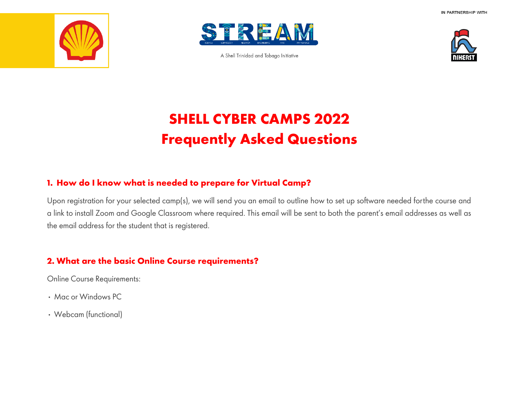



A Shell Trinidad and Tobago Initiative



# **SHELL CYBER CAMPS 2022 Frequently Asked Questions**

### **1. How do I know what is needed to prepare for Virtual Camp?**

Upon registration for your selected camp(s), we will send you an email to outline how to set up software needed forthe course and a link to install Zoom and Google Classroom where required. This email will be sent to both the parent's email addresses as well as the email address for the student that is registered.

## **2. What are the basic Online Course requirements?**

Online Course Requirements:

- Mac or Windows PC
- Webcam (functional)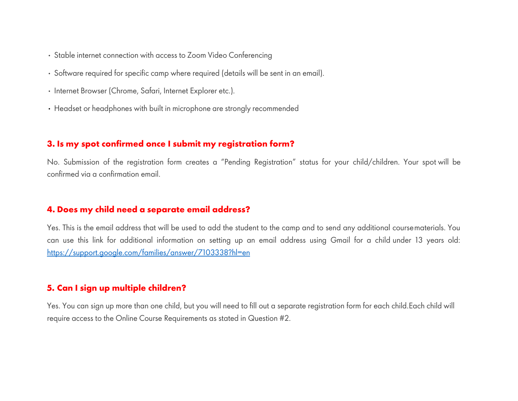- Stable internet connection with access to Zoom Video Conferencing
- Software required for specific camp where required (details will be sent in an email).
- Internet Browser (Chrome, Safari, Internet Explorer etc.).
- Headset or headphones with built in microphone are strongly recommended

#### **3. Is my spot confirmed once I submit my registration form?**

No. Submission of the registration form creates a "Pending Registration" status for your child/children. Your spot will be confirmed via a confirmation email.

#### **4. Does my child need a separate email address?**

Yes. This is the email address that will be used to add the student to the camp and to send any additional coursematerials. You can use this link for additional information on setting up an email address using Gmail for a child under 13 years old: https://support.google.com/families/answer/7103338?hl=en

#### **5. Can I sign up multiple children?**

Yes. You can sign up more than one child, but you will need to fill out a separate registration form for each child.Each child will require access to the Online Course Requirements as stated in Question #2.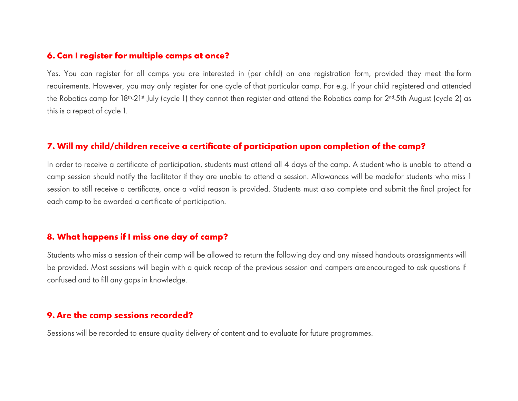#### **6. Can I register for multiple camps at once?**

Yes. You can register for all camps you are interested in (per child) on one registration form, provided they meet the form requirements. However, you may only register for one cycle of that particular camp. For e.g. If your child registered and attended the Robotics camp for 18<sup>th</sup>-21<sup>st</sup> July (cycle 1) they cannot then register and attend the Robotics camp for 2<sup>nd</sup>-5th August (cycle 2) as this is a repeat of cycle 1.

#### **7. Will my child/children receive a certificate of participation upon completion of the camp?**

In order to receive a certificate of participation, students must attend all 4 days of the camp. A student who is unable to attend a camp session should notify the facilitator if they are unable to attend a session. Allowances will be madefor students who miss 1 session to still receive a certificate, once a valid reason is provided. Students must also complete and submit the final project for each camp to be awarded a certificate of participation.

#### **8. What happens if I miss one day of camp?**

Students who miss a session of their camp will be allowed to return the following day and any missed handouts orassignments will be provided. Most sessions will begin with a quick recap of the previous session and campers areencouraged to ask questions if confused and to fill any gaps in knowledge.

#### **9. Are the camp sessions recorded?**

Sessions will be recorded to ensure quality delivery of content and to evaluate for future programmes.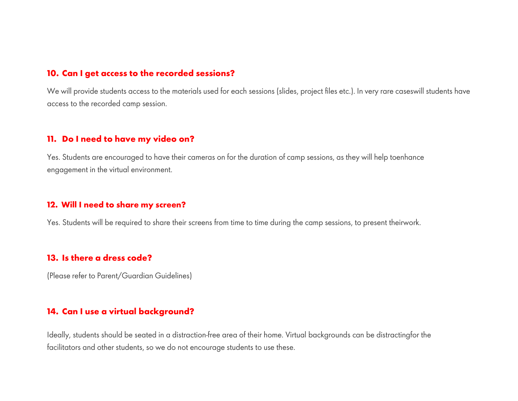#### **10. Can I get access to the recorded sessions?**

We will provide students access to the materials used for each sessions (slides, project files etc.). In very rare caseswill students have access to the recorded camp session.

#### **11. Do I need to have my video on?**

Yes. Students are encouraged to have their cameras on for the duration of camp sessions, as they will help toenhance engagement in the virtual environment.

#### **12. Will I need to share my screen?**

Yes. Students will be required to share their screens from time to time during the camp sessions, to present theirwork.

#### **13. Is there a dress code?**

(Please refer to Parent/Guardian Guidelines)

#### **14. Can I use a virtual background?**

Ideally, students should be seated in a distraction-free area of their home. Virtual backgrounds can be distractingfor the facilitators and other students, so we do not encourage students to use these.